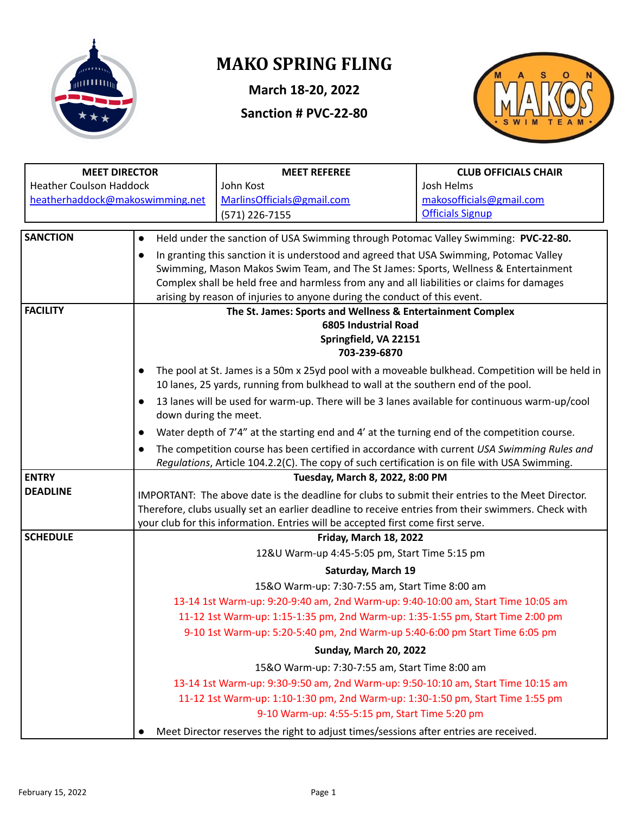

# **MAKO SPRING FLING**

**March 18-20, 2022**

**Sanction # PVC-22-80**



| <b>MEET DIRECTOR</b>            |                                                                                                                                                                                                                                                                                              | <b>MEET REFEREE</b>                                                                              | <b>CLUB OFFICIALS CHAIR</b> |  |  |  |  |
|---------------------------------|----------------------------------------------------------------------------------------------------------------------------------------------------------------------------------------------------------------------------------------------------------------------------------------------|--------------------------------------------------------------------------------------------------|-----------------------------|--|--|--|--|
| <b>Heather Coulson Haddock</b>  |                                                                                                                                                                                                                                                                                              | John Kost                                                                                        | Josh Helms                  |  |  |  |  |
| heatherhaddock@makoswimming.net |                                                                                                                                                                                                                                                                                              | MarlinsOfficials@gmail.com                                                                       | makosofficials@gmail.com    |  |  |  |  |
|                                 |                                                                                                                                                                                                                                                                                              | (571) 226-7155                                                                                   | <b>Officials Signup</b>     |  |  |  |  |
| <b>SANCTION</b>                 | $\bullet$                                                                                                                                                                                                                                                                                    | Held under the sanction of USA Swimming through Potomac Valley Swimming: PVC-22-80.              |                             |  |  |  |  |
|                                 | $\bullet$                                                                                                                                                                                                                                                                                    | In granting this sanction it is understood and agreed that USA Swimming, Potomac Valley          |                             |  |  |  |  |
|                                 |                                                                                                                                                                                                                                                                                              | Swimming, Mason Makos Swim Team, and The St James: Sports, Wellness & Entertainment              |                             |  |  |  |  |
|                                 |                                                                                                                                                                                                                                                                                              | Complex shall be held free and harmless from any and all liabilities or claims for damages       |                             |  |  |  |  |
| <b>FACILITY</b>                 |                                                                                                                                                                                                                                                                                              | arising by reason of injuries to anyone during the conduct of this event.                        |                             |  |  |  |  |
|                                 |                                                                                                                                                                                                                                                                                              | The St. James: Sports and Wellness & Entertainment Complex<br><b>6805 Industrial Road</b>        |                             |  |  |  |  |
|                                 |                                                                                                                                                                                                                                                                                              | Springfield, VA 22151                                                                            |                             |  |  |  |  |
|                                 |                                                                                                                                                                                                                                                                                              | 703-239-6870                                                                                     |                             |  |  |  |  |
|                                 | $\bullet$                                                                                                                                                                                                                                                                                    | The pool at St. James is a 50m x 25yd pool with a moveable bulkhead. Competition will be held in |                             |  |  |  |  |
|                                 |                                                                                                                                                                                                                                                                                              | 10 lanes, 25 yards, running from bulkhead to wall at the southern end of the pool.               |                             |  |  |  |  |
|                                 | $\bullet$                                                                                                                                                                                                                                                                                    | 13 lanes will be used for warm-up. There will be 3 lanes available for continuous warm-up/cool   |                             |  |  |  |  |
|                                 | down during the meet.                                                                                                                                                                                                                                                                        |                                                                                                  |                             |  |  |  |  |
|                                 | $\bullet$                                                                                                                                                                                                                                                                                    | Water depth of 7'4" at the starting end and 4' at the turning end of the competition course.     |                             |  |  |  |  |
|                                 | The competition course has been certified in accordance with current USA Swimming Rules and<br>$\bullet$                                                                                                                                                                                     |                                                                                                  |                             |  |  |  |  |
| <b>ENTRY</b>                    |                                                                                                                                                                                                                                                                                              | Regulations, Article 104.2.2(C). The copy of such certification is on file with USA Swimming.    |                             |  |  |  |  |
| <b>DEADLINE</b>                 |                                                                                                                                                                                                                                                                                              | Tuesday, March 8, 2022, 8:00 PM                                                                  |                             |  |  |  |  |
|                                 | IMPORTANT: The above date is the deadline for clubs to submit their entries to the Meet Director.<br>Therefore, clubs usually set an earlier deadline to receive entries from their swimmers. Check with<br>your club for this information. Entries will be accepted first come first serve. |                                                                                                  |                             |  |  |  |  |
|                                 |                                                                                                                                                                                                                                                                                              |                                                                                                  |                             |  |  |  |  |
| <b>SCHEDULE</b>                 | Friday, March 18, 2022                                                                                                                                                                                                                                                                       |                                                                                                  |                             |  |  |  |  |
|                                 |                                                                                                                                                                                                                                                                                              | 12&U Warm-up 4:45-5:05 pm, Start Time 5:15 pm                                                    |                             |  |  |  |  |
|                                 |                                                                                                                                                                                                                                                                                              | Saturday, March 19                                                                               |                             |  |  |  |  |
|                                 |                                                                                                                                                                                                                                                                                              | 15&O Warm-up: 7:30-7:55 am, Start Time 8:00 am                                                   |                             |  |  |  |  |
|                                 |                                                                                                                                                                                                                                                                                              | 13-14 1st Warm-up: 9:20-9:40 am, 2nd Warm-up: 9:40-10:00 am, Start Time 10:05 am                 |                             |  |  |  |  |
|                                 |                                                                                                                                                                                                                                                                                              | 11-12 1st Warm-up: 1:15-1:35 pm, 2nd Warm-up: 1:35-1:55 pm, Start Time 2:00 pm                   |                             |  |  |  |  |
|                                 | 9-10 1st Warm-up: 5:20-5:40 pm, 2nd Warm-up 5:40-6:00 pm Start Time 6:05 pm                                                                                                                                                                                                                  |                                                                                                  |                             |  |  |  |  |
|                                 |                                                                                                                                                                                                                                                                                              | Sunday, March 20, 2022                                                                           |                             |  |  |  |  |
|                                 | 15&O Warm-up: 7:30-7:55 am, Start Time 8:00 am                                                                                                                                                                                                                                               |                                                                                                  |                             |  |  |  |  |
|                                 | 13-14 1st Warm-up: 9:30-9:50 am, 2nd Warm-up: 9:50-10:10 am, Start Time 10:15 am                                                                                                                                                                                                             |                                                                                                  |                             |  |  |  |  |
|                                 |                                                                                                                                                                                                                                                                                              | 11-12 1st Warm-up: 1:10-1:30 pm, 2nd Warm-up: 1:30-1:50 pm, Start Time 1:55 pm                   |                             |  |  |  |  |
|                                 | 9-10 Warm-up: 4:55-5:15 pm, Start Time 5:20 pm                                                                                                                                                                                                                                               |                                                                                                  |                             |  |  |  |  |
|                                 |                                                                                                                                                                                                                                                                                              | Meet Director reserves the right to adjust times/sessions after entries are received.            |                             |  |  |  |  |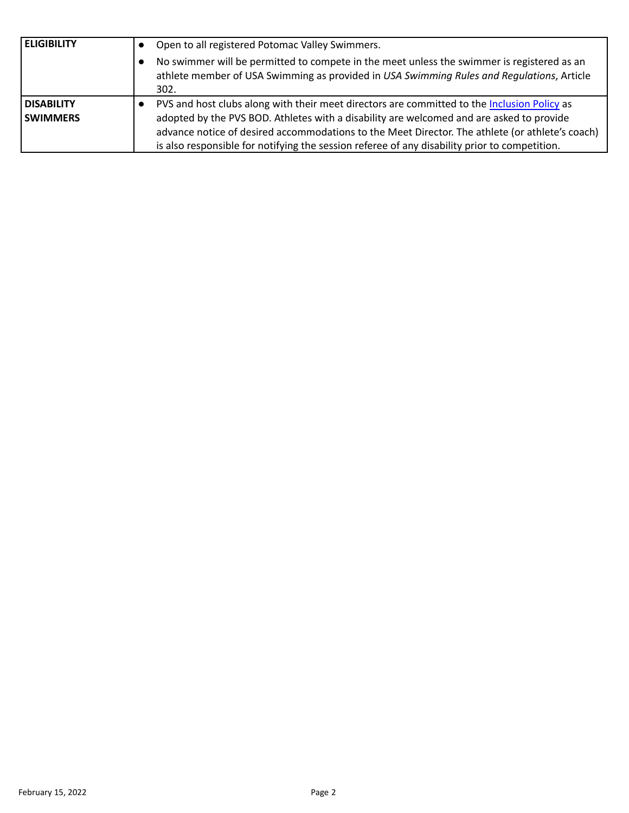| <b>ELIGIBILITY</b> | Open to all registered Potomac Valley Swimmers.                                                                                                                                                 |
|--------------------|-------------------------------------------------------------------------------------------------------------------------------------------------------------------------------------------------|
|                    | No swimmer will be permitted to compete in the meet unless the swimmer is registered as an<br>athlete member of USA Swimming as provided in USA Swimming Rules and Regulations, Article<br>302. |
| <b>DISABILITY</b>  | PVS and host clubs along with their meet directors are committed to the Inclusion Policy as                                                                                                     |
| <b>SWIMMERS</b>    | adopted by the PVS BOD. Athletes with a disability are welcomed and are asked to provide                                                                                                        |
|                    | advance notice of desired accommodations to the Meet Director. The athlete (or athlete's coach)                                                                                                 |
|                    | is also responsible for notifying the session referee of any disability prior to competition.                                                                                                   |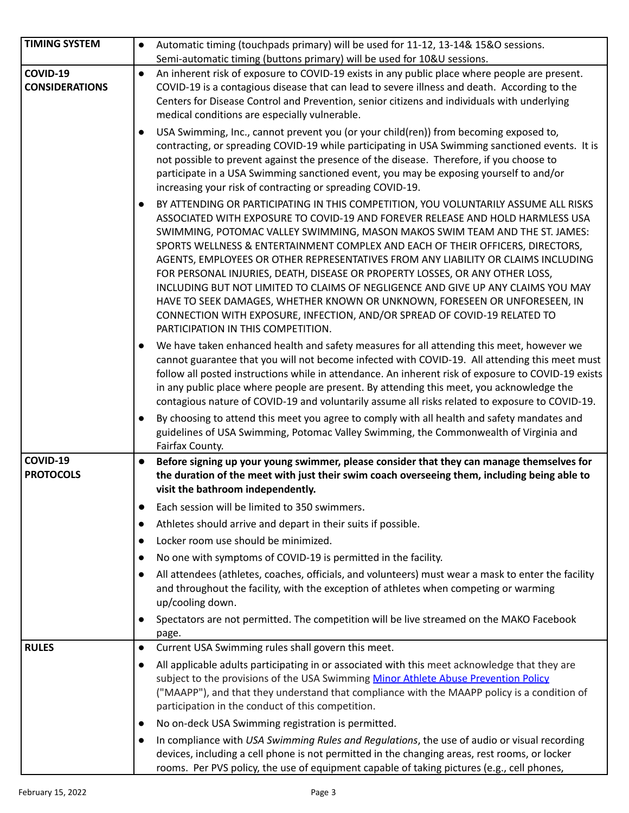| <b>TIMING SYSTEM</b>              | Automatic timing (touchpads primary) will be used for 11-12, 13-14& 15&O sessions.<br>$\bullet$                                                                                                                                                                                                                                                                                                                                                                                                                                                                                                                                                                                                                                                                                                               |
|-----------------------------------|---------------------------------------------------------------------------------------------------------------------------------------------------------------------------------------------------------------------------------------------------------------------------------------------------------------------------------------------------------------------------------------------------------------------------------------------------------------------------------------------------------------------------------------------------------------------------------------------------------------------------------------------------------------------------------------------------------------------------------------------------------------------------------------------------------------|
|                                   | Semi-automatic timing (buttons primary) will be used for 10&U sessions.                                                                                                                                                                                                                                                                                                                                                                                                                                                                                                                                                                                                                                                                                                                                       |
| COVID-19<br><b>CONSIDERATIONS</b> | An inherent risk of exposure to COVID-19 exists in any public place where people are present.<br>$\bullet$<br>COVID-19 is a contagious disease that can lead to severe illness and death. According to the<br>Centers for Disease Control and Prevention, senior citizens and individuals with underlying<br>medical conditions are especially vulnerable.                                                                                                                                                                                                                                                                                                                                                                                                                                                    |
|                                   | USA Swimming, Inc., cannot prevent you (or your child(ren)) from becoming exposed to,<br>$\bullet$<br>contracting, or spreading COVID-19 while participating in USA Swimming sanctioned events. It is<br>not possible to prevent against the presence of the disease. Therefore, if you choose to<br>participate in a USA Swimming sanctioned event, you may be exposing yourself to and/or<br>increasing your risk of contracting or spreading COVID-19.                                                                                                                                                                                                                                                                                                                                                     |
|                                   | BY ATTENDING OR PARTICIPATING IN THIS COMPETITION, YOU VOLUNTARILY ASSUME ALL RISKS<br>$\bullet$<br>ASSOCIATED WITH EXPOSURE TO COVID-19 AND FOREVER RELEASE AND HOLD HARMLESS USA<br>SWIMMING, POTOMAC VALLEY SWIMMING, MASON MAKOS SWIM TEAM AND THE ST. JAMES:<br>SPORTS WELLNESS & ENTERTAINMENT COMPLEX AND EACH OF THEIR OFFICERS, DIRECTORS,<br>AGENTS, EMPLOYEES OR OTHER REPRESENTATIVES FROM ANY LIABILITY OR CLAIMS INCLUDING<br>FOR PERSONAL INJURIES, DEATH, DISEASE OR PROPERTY LOSSES, OR ANY OTHER LOSS,<br>INCLUDING BUT NOT LIMITED TO CLAIMS OF NEGLIGENCE AND GIVE UP ANY CLAIMS YOU MAY<br>HAVE TO SEEK DAMAGES, WHETHER KNOWN OR UNKNOWN, FORESEEN OR UNFORESEEN, IN<br>CONNECTION WITH EXPOSURE, INFECTION, AND/OR SPREAD OF COVID-19 RELATED TO<br>PARTICIPATION IN THIS COMPETITION. |
|                                   | We have taken enhanced health and safety measures for all attending this meet, however we<br>cannot guarantee that you will not become infected with COVID-19. All attending this meet must<br>follow all posted instructions while in attendance. An inherent risk of exposure to COVID-19 exists<br>in any public place where people are present. By attending this meet, you acknowledge the<br>contagious nature of COVID-19 and voluntarily assume all risks related to exposure to COVID-19.                                                                                                                                                                                                                                                                                                            |
|                                   | By choosing to attend this meet you agree to comply with all health and safety mandates and<br>$\bullet$<br>guidelines of USA Swimming, Potomac Valley Swimming, the Commonwealth of Virginia and<br>Fairfax County.                                                                                                                                                                                                                                                                                                                                                                                                                                                                                                                                                                                          |
| COVID-19<br><b>PROTOCOLS</b>      | Before signing up your young swimmer, please consider that they can manage themselves for<br>the duration of the meet with just their swim coach overseeing them, including being able to<br>visit the bathroom independently.                                                                                                                                                                                                                                                                                                                                                                                                                                                                                                                                                                                |
|                                   | Each session will be limited to 350 swimmers.<br>$\bullet$                                                                                                                                                                                                                                                                                                                                                                                                                                                                                                                                                                                                                                                                                                                                                    |
|                                   | Athletes should arrive and depart in their suits if possible.                                                                                                                                                                                                                                                                                                                                                                                                                                                                                                                                                                                                                                                                                                                                                 |
|                                   | Locker room use should be minimized.<br>$\bullet$                                                                                                                                                                                                                                                                                                                                                                                                                                                                                                                                                                                                                                                                                                                                                             |
|                                   | No one with symptoms of COVID-19 is permitted in the facility.<br>$\bullet$                                                                                                                                                                                                                                                                                                                                                                                                                                                                                                                                                                                                                                                                                                                                   |
|                                   | All attendees (athletes, coaches, officials, and volunteers) must wear a mask to enter the facility<br>$\bullet$<br>and throughout the facility, with the exception of athletes when competing or warming<br>up/cooling down.                                                                                                                                                                                                                                                                                                                                                                                                                                                                                                                                                                                 |
|                                   | Spectators are not permitted. The competition will be live streamed on the MAKO Facebook<br>$\bullet$<br>page.                                                                                                                                                                                                                                                                                                                                                                                                                                                                                                                                                                                                                                                                                                |
| <b>RULES</b>                      | Current USA Swimming rules shall govern this meet.<br>$\bullet$                                                                                                                                                                                                                                                                                                                                                                                                                                                                                                                                                                                                                                                                                                                                               |
|                                   | All applicable adults participating in or associated with this meet acknowledge that they are<br>$\bullet$<br>subject to the provisions of the USA Swimming Minor Athlete Abuse Prevention Policy<br>("MAAPP"), and that they understand that compliance with the MAAPP policy is a condition of<br>participation in the conduct of this competition.                                                                                                                                                                                                                                                                                                                                                                                                                                                         |
|                                   | No on-deck USA Swimming registration is permitted.<br>$\bullet$                                                                                                                                                                                                                                                                                                                                                                                                                                                                                                                                                                                                                                                                                                                                               |
|                                   | In compliance with USA Swimming Rules and Regulations, the use of audio or visual recording<br>$\bullet$<br>devices, including a cell phone is not permitted in the changing areas, rest rooms, or locker<br>rooms. Per PVS policy, the use of equipment capable of taking pictures (e.g., cell phones,                                                                                                                                                                                                                                                                                                                                                                                                                                                                                                       |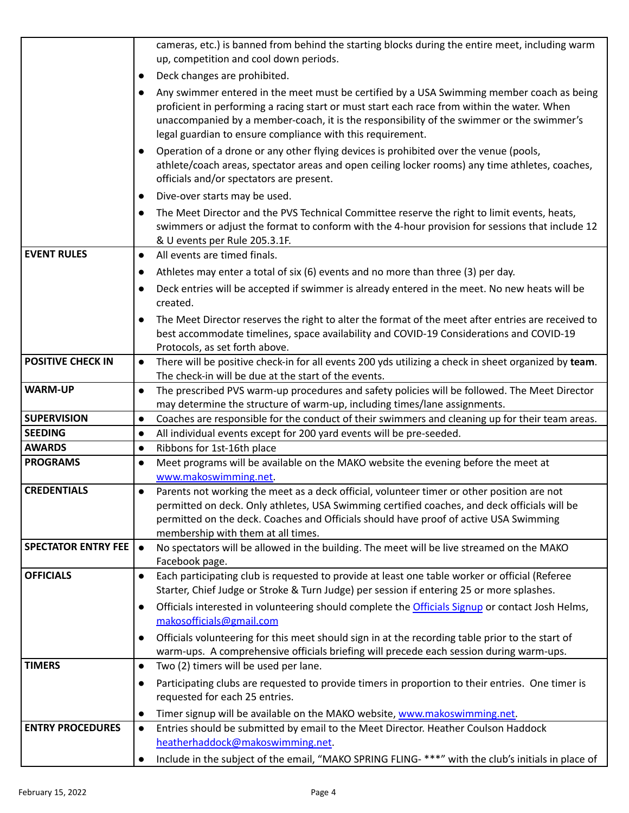|                            | cameras, etc.) is banned from behind the starting blocks during the entire meet, including warm                                                                                                             |
|----------------------------|-------------------------------------------------------------------------------------------------------------------------------------------------------------------------------------------------------------|
|                            | up, competition and cool down periods.                                                                                                                                                                      |
|                            | Deck changes are prohibited.<br>$\bullet$                                                                                                                                                                   |
|                            | Any swimmer entered in the meet must be certified by a USA Swimming member coach as being<br>$\bullet$                                                                                                      |
|                            | proficient in performing a racing start or must start each race from within the water. When                                                                                                                 |
|                            | unaccompanied by a member-coach, it is the responsibility of the swimmer or the swimmer's                                                                                                                   |
|                            | legal guardian to ensure compliance with this requirement.                                                                                                                                                  |
|                            | Operation of a drone or any other flying devices is prohibited over the venue (pools,<br>$\bullet$                                                                                                          |
|                            | athlete/coach areas, spectator areas and open ceiling locker rooms) any time athletes, coaches,<br>officials and/or spectators are present.                                                                 |
|                            | Dive-over starts may be used.                                                                                                                                                                               |
|                            | $\bullet$                                                                                                                                                                                                   |
|                            | The Meet Director and the PVS Technical Committee reserve the right to limit events, heats,<br>$\bullet$<br>swimmers or adjust the format to conform with the 4-hour provision for sessions that include 12 |
|                            | & U events per Rule 205.3.1F.                                                                                                                                                                               |
| <b>EVENT RULES</b>         | All events are timed finals.<br>$\bullet$                                                                                                                                                                   |
|                            | Athletes may enter a total of six (6) events and no more than three (3) per day.<br>$\bullet$                                                                                                               |
|                            | Deck entries will be accepted if swimmer is already entered in the meet. No new heats will be<br>$\bullet$                                                                                                  |
|                            | created.                                                                                                                                                                                                    |
|                            | The Meet Director reserves the right to alter the format of the meet after entries are received to<br>$\bullet$                                                                                             |
|                            | best accommodate timelines, space availability and COVID-19 Considerations and COVID-19                                                                                                                     |
|                            | Protocols, as set forth above.                                                                                                                                                                              |
| <b>POSITIVE CHECK IN</b>   | There will be positive check-in for all events 200 yds utilizing a check in sheet organized by team.<br>$\bullet$                                                                                           |
|                            | The check-in will be due at the start of the events.                                                                                                                                                        |
| <b>WARM-UP</b>             | The prescribed PVS warm-up procedures and safety policies will be followed. The Meet Director<br>$\bullet$<br>may determine the structure of warm-up, including times/lane assignments.                     |
| <b>SUPERVISION</b>         | Coaches are responsible for the conduct of their swimmers and cleaning up for their team areas.<br>$\bullet$                                                                                                |
| <b>SEEDING</b>             | All individual events except for 200 yard events will be pre-seeded.<br>$\bullet$                                                                                                                           |
| <b>AWARDS</b>              | Ribbons for 1st-16th place<br>$\bullet$                                                                                                                                                                     |
| <b>PROGRAMS</b>            | Meet programs will be available on the MAKO website the evening before the meet at<br>$\bullet$                                                                                                             |
|                            | www.makoswimming.net                                                                                                                                                                                        |
| <b>CREDENTIALS</b>         | Parents not working the meet as a deck official, volunteer timer or other position are not<br>$\bullet$                                                                                                     |
|                            | permitted on deck. Only athletes, USA Swimming certified coaches, and deck officials will be                                                                                                                |
|                            | permitted on the deck. Coaches and Officials should have proof of active USA Swimming                                                                                                                       |
| <b>SPECTATOR ENTRY FEE</b> | membership with them at all times.<br>No spectators will be allowed in the building. The meet will be live streamed on the MAKO<br>$\bullet$                                                                |
|                            | Facebook page.                                                                                                                                                                                              |
| <b>OFFICIALS</b>           | Each participating club is requested to provide at least one table worker or official (Referee<br>$\bullet$                                                                                                 |
|                            | Starter, Chief Judge or Stroke & Turn Judge) per session if entering 25 or more splashes.                                                                                                                   |
|                            | Officials interested in volunteering should complete the Officials Signup or contact Josh Helms,<br>$\bullet$                                                                                               |
|                            | makosofficials@gmail.com                                                                                                                                                                                    |
|                            | Officials volunteering for this meet should sign in at the recording table prior to the start of<br>$\bullet$                                                                                               |
|                            | warm-ups. A comprehensive officials briefing will precede each session during warm-ups.                                                                                                                     |
| <b>TIMERS</b>              | Two (2) timers will be used per lane.<br>$\bullet$                                                                                                                                                          |
|                            | Participating clubs are requested to provide timers in proportion to their entries. One timer is<br>$\bullet$                                                                                               |
|                            | requested for each 25 entries.                                                                                                                                                                              |
|                            | Timer signup will be available on the MAKO website, www.makoswimming.net.<br>$\bullet$                                                                                                                      |
| <b>ENTRY PROCEDURES</b>    | Entries should be submitted by email to the Meet Director. Heather Coulson Haddock<br>$\bullet$                                                                                                             |
|                            | heatherhaddock@makoswimming.net.                                                                                                                                                                            |
|                            | Include in the subject of the email, "MAKO SPRING FLING- ***" with the club's initials in place of                                                                                                          |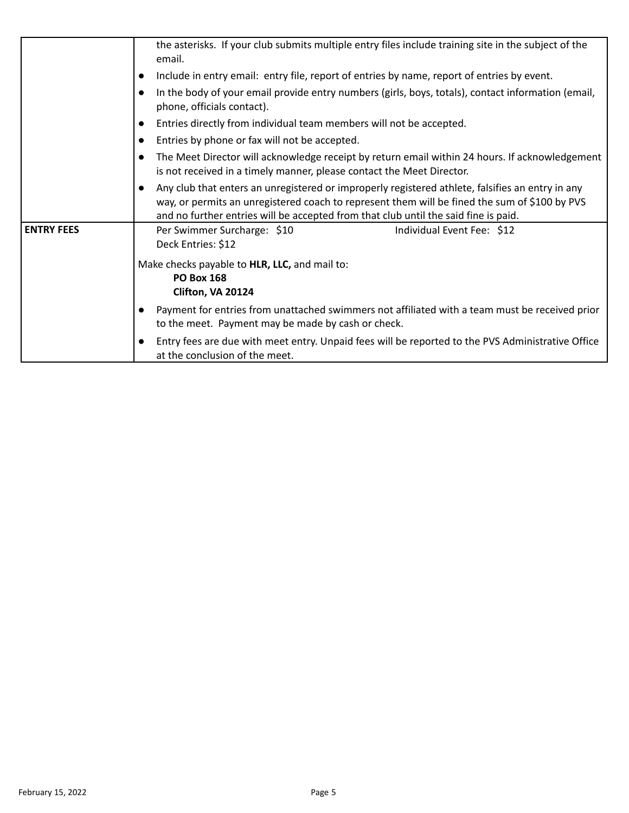|                   | the asterisks. If your club submits multiple entry files include training site in the subject of the<br>email.                                                                                                                                                                                        |
|-------------------|-------------------------------------------------------------------------------------------------------------------------------------------------------------------------------------------------------------------------------------------------------------------------------------------------------|
|                   | Include in entry email: entry file, report of entries by name, report of entries by event.                                                                                                                                                                                                            |
|                   | In the body of your email provide entry numbers (girls, boys, totals), contact information (email,<br>phone, officials contact).                                                                                                                                                                      |
|                   | Entries directly from individual team members will not be accepted.<br>$\bullet$                                                                                                                                                                                                                      |
|                   | Entries by phone or fax will not be accepted.<br>$\bullet$                                                                                                                                                                                                                                            |
|                   | The Meet Director will acknowledge receipt by return email within 24 hours. If acknowledgement<br>$\bullet$<br>is not received in a timely manner, please contact the Meet Director.                                                                                                                  |
|                   | Any club that enters an unregistered or improperly registered athlete, falsifies an entry in any<br>$\bullet$<br>way, or permits an unregistered coach to represent them will be fined the sum of \$100 by PVS<br>and no further entries will be accepted from that club until the said fine is paid. |
| <b>ENTRY FEES</b> | Per Swimmer Surcharge: \$10<br>Individual Event Fee: \$12<br>Deck Entries: \$12                                                                                                                                                                                                                       |
|                   | Make checks payable to HLR, LLC, and mail to:<br><b>PO Box 168</b><br>Clifton, VA 20124                                                                                                                                                                                                               |
|                   | Payment for entries from unattached swimmers not affiliated with a team must be received prior<br>to the meet. Payment may be made by cash or check.                                                                                                                                                  |
|                   | Entry fees are due with meet entry. Unpaid fees will be reported to the PVS Administrative Office<br>$\bullet$<br>at the conclusion of the meet.                                                                                                                                                      |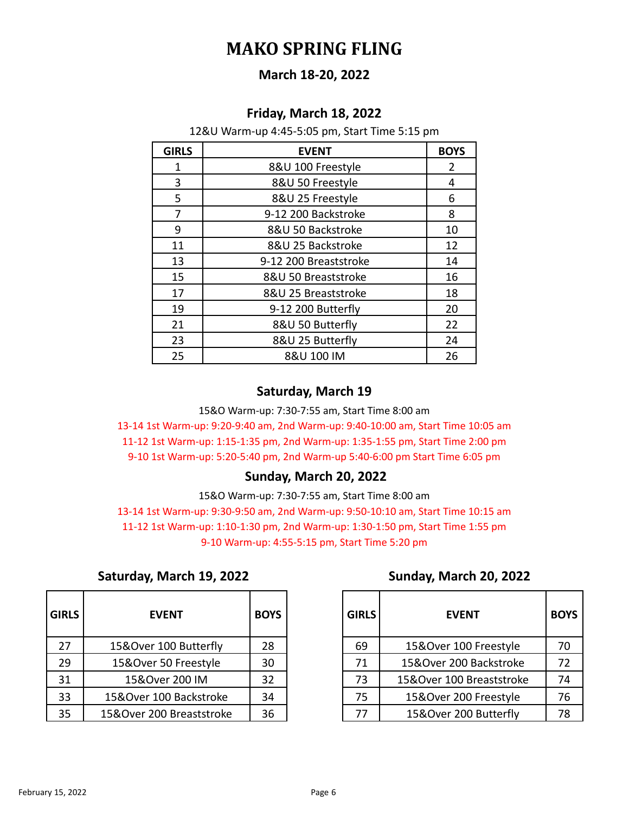# **MAKO SPRING FLING**

## **March 18-20, 2022**

#### **Friday, March 18, 2022**

12&U Warm-up 4:45-5:05 pm, Start Time 5:15 pm

| <b>GIRLS</b> | <b>EVENT</b>          | <b>BOYS</b> |
|--------------|-----------------------|-------------|
| 1            | 8&U 100 Freestyle     | 2           |
| 3            | 8&U 50 Freestyle      | 4           |
| 5            | 8&U 25 Freestyle      | 6           |
| 7            | 9-12 200 Backstroke   | 8           |
| 9            | 8&U 50 Backstroke     | 10          |
| 11           | 8&U 25 Backstroke     | 12          |
| 13           | 9-12 200 Breaststroke | 14          |
| 15           | 8&U 50 Breaststroke   | 16          |
| 17           | 8&U 25 Breaststroke   | 18          |
| 19           | 9-12 200 Butterfly    | 20          |
| 21           | 8&U 50 Butterfly      | 22          |
| 23           | 8&U 25 Butterfly      | 24          |
| 25           | 8&U 100 IM            | 26          |

## **Saturday, March 19**

15&O Warm-up: 7:30-7:55 am, Start Time 8:00 am 13-14 1st Warm-up: 9:20-9:40 am, 2nd Warm-up: 9:40-10:00 am, Start Time 10:05 am 11-12 1st Warm-up: 1:15-1:35 pm, 2nd Warm-up: 1:35-1:55 pm, Start Time 2:00 pm 9-10 1st Warm-up: 5:20-5:40 pm, 2nd Warm-up 5:40-6:00 pm Start Time 6:05 pm

#### **Sunday, March 20, 2022**

15&O Warm-up: 7:30-7:55 am, Start Time 8:00 am 13-14 1st Warm-up: 9:30-9:50 am, 2nd Warm-up: 9:50-10:10 am, Start Time 10:15 am 11-12 1st Warm-up: 1:10-1:30 pm, 2nd Warm-up: 1:30-1:50 pm, Start Time 1:55 pm 9-10 Warm-up: 4:55-5:15 pm, Start Time 5:20 pm

| Saturday, March 19, 2022 |  |
|--------------------------|--|
|--------------------------|--|

| <b>GIRLS</b> | <b>EVENT</b>             | <b>BOYS</b> |
|--------------|--------------------------|-------------|
| 27           | 15&Over 100 Butterfly    | 28          |
| 29           | 15&Over 50 Freestyle     | 30          |
| 31           | 15&Over 200 IM           | 32          |
| 33           | 15&Over 100 Backstroke   | 34          |
| 35           | 15&Over 200 Breaststroke | 36          |

# **Saturday, March 19, 2022 Sunday, March 20, 2022**

| <b>GIRLS</b> | <b>EVENT</b>             | <b>BOYS</b> | <b>GIRLS</b> | <b>EVENT</b>             | <b>BOYS</b> |
|--------------|--------------------------|-------------|--------------|--------------------------|-------------|
| 27           | 15&Over 100 Butterfly    | 28          | 69           | 15&Over 100 Freestyle    | 70          |
| 29           | 15&Over 50 Freestyle     | 30          | 71           | 15&Over 200 Backstroke   | 72          |
| 31           | 15&Over 200 IM           | 32          | 73           | 15&Over 100 Breaststroke | 74          |
| 33           | 15&Over 100 Backstroke   | 34          | 75           | 15&Over 200 Freestyle    | 76          |
| 35           | 15&Over 200 Breaststroke | 36          | 77           | 15&Over 200 Butterfly    | 78          |